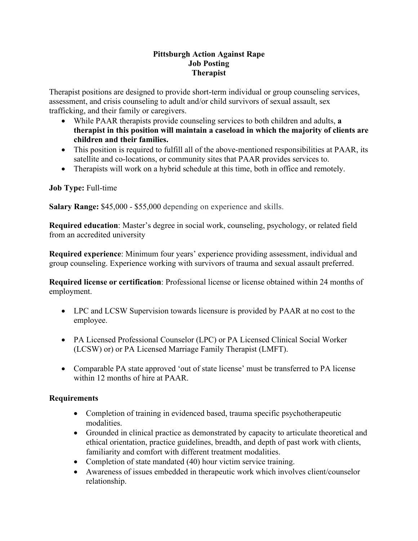#### **Pittsburgh Action Against Rape Job Posting Therapist**

Therapist positions are designed to provide short-term individual or group counseling services, assessment, and crisis counseling to adult and/or child survivors of sexual assault, sex trafficking, and their family or caregivers.

- While PAAR therapists provide counseling services to both children and adults, **a therapist in this position will maintain a caseload in which the majority of clients are children and their families.**
- This position is required to fulfill all of the above-mentioned responsibilities at PAAR, its satellite and co-locations, or community sites that PAAR provides services to.
- Therapists will work on a hybrid schedule at this time, both in office and remotely.

#### **Job Type:** Full-time

**Salary Range:** \$45,000 - \$55,000 depending on experience and skills.

**Required education**: Master's degree in social work, counseling, psychology, or related field from an accredited university

**Required experience**: Minimum four years' experience providing assessment, individual and group counseling. Experience working with survivors of trauma and sexual assault preferred.

**Required license or certification**: Professional license or license obtained within 24 months of employment.

- LPC and LCSW Supervision towards licensure is provided by PAAR at no cost to the employee.
- PA Licensed Professional Counselor (LPC) or PA Licensed Clinical Social Worker (LCSW) or) or PA Licensed Marriage Family Therapist (LMFT).
- Comparable PA state approved 'out of state license' must be transferred to PA license within 12 months of hire at PAAR.

## **Requirements**

- Completion of training in evidenced based, trauma specific psychotherapeutic modalities.
- Grounded in clinical practice as demonstrated by capacity to articulate theoretical and ethical orientation, practice guidelines, breadth, and depth of past work with clients, familiarity and comfort with different treatment modalities.
- Completion of state mandated (40) hour victim service training.
- Awareness of issues embedded in therapeutic work which involves client/counselor relationship.